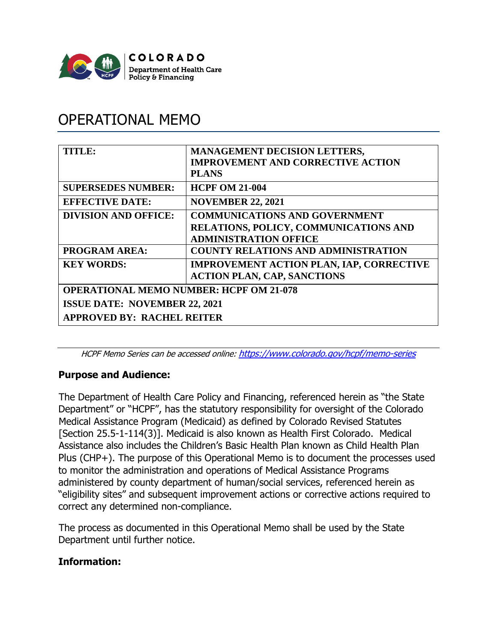

# OPERATIONAL MEMO

| TITLE:                                         | <b>MANAGEMENT DECISION LETTERS,</b><br><b>IMPROVEMENT AND CORRECTIVE ACTION</b><br><b>PLANS</b>                      |
|------------------------------------------------|----------------------------------------------------------------------------------------------------------------------|
| <b>SUPERSEDES NUMBER:</b>                      | <b>HCPF OM 21-004</b>                                                                                                |
| <b>EFFECTIVE DATE:</b>                         | <b>NOVEMBER 22, 2021</b>                                                                                             |
| <b>DIVISION AND OFFICE:</b>                    | <b>COMMUNICATIONS AND GOVERNMENT</b><br><b>RELATIONS, POLICY, COMMUNICATIONS AND</b><br><b>ADMINISTRATION OFFICE</b> |
| <b>PROGRAM AREA:</b>                           | <b>COUNTY RELATIONS AND ADMINISTRATION</b>                                                                           |
| <b>KEY WORDS:</b>                              | <b>IMPROVEMENT ACTION PLAN, IAP, CORRECTIVE</b><br><b>ACTION PLAN, CAP, SANCTIONS</b>                                |
| <b>OPERATIONAL MEMO NUMBER: HCPF OM 21-078</b> |                                                                                                                      |
| <b>ISSUE DATE: NOVEMBER 22, 2021</b>           |                                                                                                                      |
| <b>APPROVED BY: RACHEL REITER</b>              |                                                                                                                      |

HCPF Memo Series can be accessed online: <https://www.colorado.gov/hcpf/memo-series>

# **Purpose and Audience:**

The Department of Health Care Policy and Financing, referenced herein as "the State Department" or "HCPF", has the statutory responsibility for oversight of the Colorado Medical Assistance Program (Medicaid) as defined by Colorado Revised Statutes [Section 25.5-1-114(3)]. Medicaid is also known as Health First Colorado. Medical Assistance also includes the Children's Basic Health Plan known as Child Health Plan Plus (CHP+). The purpose of this Operational Memo is to document the processes used to monitor the administration and operations of Medical Assistance Programs administered by county department of human/social services, referenced herein as "eligibility sites" and subsequent improvement actions or corrective actions required to correct any determined non-compliance.

The process as documented in this Operational Memo shall be used by the State Department until further notice.

# **Information:**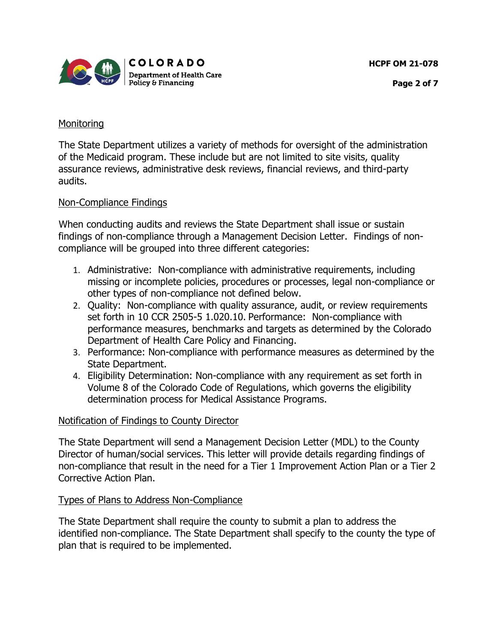



#### **Monitoring**

The State Department utilizes a variety of methods for oversight of the administration of the Medicaid program. These include but are not limited to site visits, quality assurance reviews, administrative desk reviews, financial reviews, and third-party audits.

# Non-Compliance Findings

When conducting audits and reviews the State Department shall issue or sustain findings of non-compliance through a Management Decision Letter. Findings of noncompliance will be grouped into three different categories:

- 1. Administrative: Non-compliance with administrative requirements, including missing or incomplete policies, procedures or processes, legal non-compliance or other types of non-compliance not defined below.
- 2. Quality: Non-compliance with quality assurance, audit, or review requirements set forth in 10 CCR 2505-5 1.020.10. Performance: Non-compliance with performance measures, benchmarks and targets as determined by the Colorado Department of Health Care Policy and Financing.
- 3. Performance: Non-compliance with performance measures as determined by the State Department.
- 4. Eligibility Determination: Non-compliance with any requirement as set forth in Volume 8 of the Colorado Code of Regulations, which governs the eligibility determination process for Medical Assistance Programs.

# Notification of Findings to County Director

The State Department will send a Management Decision Letter (MDL) to the County Director of human/social services. This letter will provide details regarding findings of non-compliance that result in the need for a Tier 1 Improvement Action Plan or a Tier 2 Corrective Action Plan.

# Types of Plans to Address Non-Compliance

The State Department shall require the county to submit a plan to address the identified non-compliance. The State Department shall specify to the county the type of plan that is required to be implemented.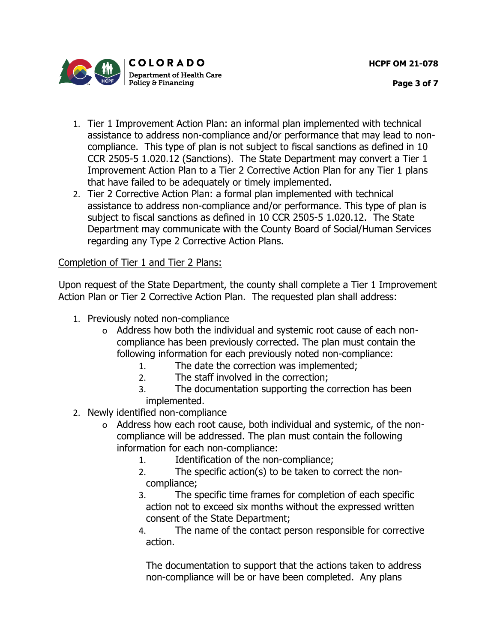**HCPF OM 21-078**



- 1. Tier 1 Improvement Action Plan: an informal plan implemented with technical assistance to address non-compliance and/or performance that may lead to noncompliance. This type of plan is not subject to fiscal sanctions as defined in 10 CCR 2505-5 1.020.12 (Sanctions). The State Department may convert a Tier 1 Improvement Action Plan to a Tier 2 Corrective Action Plan for any Tier 1 plans that have failed to be adequately or timely implemented.
- 2. Tier 2 Corrective Action Plan: a formal plan implemented with technical assistance to address non-compliance and/or performance. This type of plan is subject to fiscal sanctions as defined in 10 CCR 2505-5 1.020.12. The State Department may communicate with the County Board of Social/Human Services regarding any Type 2 Corrective Action Plans.

# Completion of Tier 1 and Tier 2 Plans:

Upon request of the State Department, the county shall complete a Tier 1 Improvement Action Plan or Tier 2 Corrective Action Plan. The requested plan shall address:

- 1. Previously noted non-compliance
	- o Address how both the individual and systemic root cause of each noncompliance has been previously corrected. The plan must contain the following information for each previously noted non-compliance:
		- 1. The date the correction was implemented;
		- 2. The staff involved in the correction;
		- 3. The documentation supporting the correction has been implemented.
- 2. Newly identified non-compliance
	- o Address how each root cause, both individual and systemic, of the noncompliance will be addressed. The plan must contain the following information for each non-compliance:
		- 1. Identification of the non-compliance;
		- 2. The specific action(s) to be taken to correct the noncompliance;
		- 3. The specific time frames for completion of each specific action not to exceed six months without the expressed written consent of the State Department;
		- 4. The name of the contact person responsible for corrective action.

The documentation to support that the actions taken to address non-compliance will be or have been completed. Any plans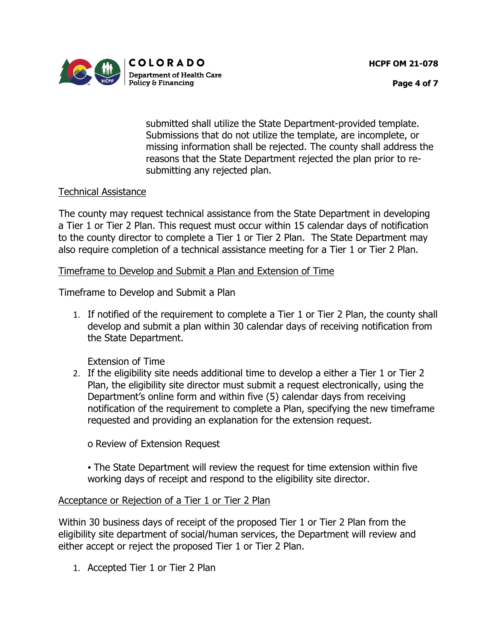**HCPF OM 21-078**



**Page 4 of 7**

submitted shall utilize the State Department-provided template. Submissions that do not utilize the template, are incomplete, or missing information shall be rejected. The county shall address the reasons that the State Department rejected the plan prior to resubmitting any rejected plan.

# Technical Assistance

The county may request technical assistance from the State Department in developing a Tier 1 or Tier 2 Plan. This request must occur within 15 calendar days of notification to the county director to complete a Tier 1 or Tier 2 Plan. The State Department may also require completion of a technical assistance meeting for a Tier 1 or Tier 2 Plan.

#### Timeframe to Develop and Submit a Plan and Extension of Time

Timeframe to Develop and Submit a Plan

1. If notified of the requirement to complete a Tier 1 or Tier 2 Plan, the county shall develop and submit a plan within 30 calendar days of receiving notification from the State Department.

Extension of Time

2. If the eligibility site needs additional time to develop a either a Tier 1 or Tier 2 Plan, the eligibility site director must submit a request electronically, using the Department's online form and within five (5) calendar days from receiving notification of the requirement to complete a Plan, specifying the new timeframe requested and providing an explanation for the extension request.

o Review of Extension Request

▪ The State Department will review the request for time extension within five working days of receipt and respond to the eligibility site director.

# Acceptance or Rejection of a Tier 1 or Tier 2 Plan

Within 30 business days of receipt of the proposed Tier 1 or Tier 2 Plan from the eligibility site department of social/human services, the Department will review and either accept or reject the proposed Tier 1 or Tier 2 Plan.

1. Accepted Tier 1 or Tier 2 Plan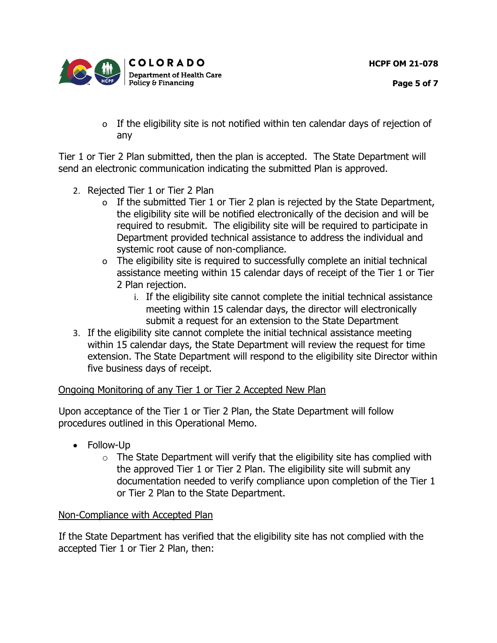**HCPF OM 21-078**



- **Page 5 of 7**
- o If the eligibility site is not notified within ten calendar days of rejection of any

Tier 1 or Tier 2 Plan submitted, then the plan is accepted. The State Department will send an electronic communication indicating the submitted Plan is approved.

- 2. Rejected Tier 1 or Tier 2 Plan
	- o If the submitted Tier 1 or Tier 2 plan is rejected by the State Department, the eligibility site will be notified electronically of the decision and will be required to resubmit. The eligibility site will be required to participate in Department provided technical assistance to address the individual and systemic root cause of non-compliance.
	- o The eligibility site is required to successfully complete an initial technical assistance meeting within 15 calendar days of receipt of the Tier 1 or Tier 2 Plan rejection.
		- i. If the eligibility site cannot complete the initial technical assistance meeting within 15 calendar days, the director will electronically submit a request for an extension to the State Department
- 3. If the eligibility site cannot complete the initial technical assistance meeting within 15 calendar days, the State Department will review the request for time extension. The State Department will respond to the eligibility site Director within five business days of receipt.

# Ongoing Monitoring of any Tier 1 or Tier 2 Accepted New Plan

Upon acceptance of the Tier 1 or Tier 2 Plan, the State Department will follow procedures outlined in this Operational Memo.

- Follow-Up
	- $\circ$  The State Department will verify that the eligibility site has complied with the approved Tier 1 or Tier 2 Plan. The eligibility site will submit any documentation needed to verify compliance upon completion of the Tier 1 or Tier 2 Plan to the State Department.

# Non-Compliance with Accepted Plan

If the State Department has verified that the eligibility site has not complied with the accepted Tier 1 or Tier 2 Plan, then: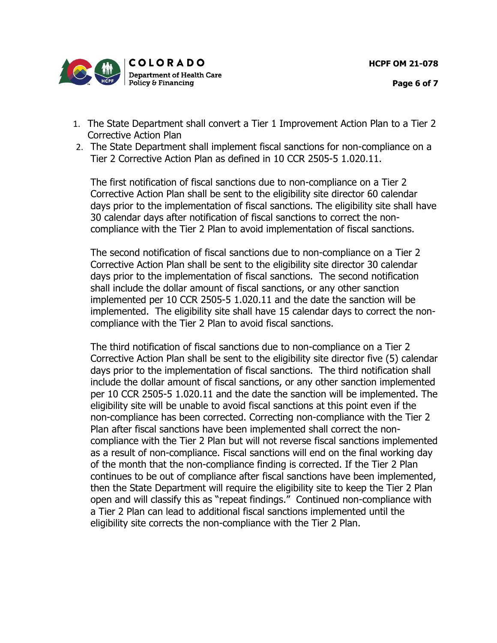

- **Page 6 of 7**
- 1. The State Department shall convert a Tier 1 Improvement Action Plan to a Tier 2 Corrective Action Plan
- 2. The State Department shall implement fiscal sanctions for non-compliance on a Tier 2 Corrective Action Plan as defined in 10 CCR 2505-5 1.020.11.

The first notification of fiscal sanctions due to non-compliance on a Tier 2 Corrective Action Plan shall be sent to the eligibility site director 60 calendar days prior to the implementation of fiscal sanctions. The eligibility site shall have 30 calendar days after notification of fiscal sanctions to correct the noncompliance with the Tier 2 Plan to avoid implementation of fiscal sanctions.

The second notification of fiscal sanctions due to non-compliance on a Tier 2 Corrective Action Plan shall be sent to the eligibility site director 30 calendar days prior to the implementation of fiscal sanctions. The second notification shall include the dollar amount of fiscal sanctions, or any other sanction implemented per 10 CCR 2505-5 1.020.11 and the date the sanction will be implemented. The eligibility site shall have 15 calendar days to correct the noncompliance with the Tier 2 Plan to avoid fiscal sanctions.

The third notification of fiscal sanctions due to non-compliance on a Tier 2 Corrective Action Plan shall be sent to the eligibility site director five (5) calendar days prior to the implementation of fiscal sanctions. The third notification shall include the dollar amount of fiscal sanctions, or any other sanction implemented per 10 CCR 2505-5 1.020.11 and the date the sanction will be implemented. The eligibility site will be unable to avoid fiscal sanctions at this point even if the non-compliance has been corrected. Correcting non-compliance with the Tier 2 Plan after fiscal sanctions have been implemented shall correct the noncompliance with the Tier 2 Plan but will not reverse fiscal sanctions implemented as a result of non-compliance. Fiscal sanctions will end on the final working day of the month that the non-compliance finding is corrected. If the Tier 2 Plan continues to be out of compliance after fiscal sanctions have been implemented, then the State Department will require the eligibility site to keep the Tier 2 Plan open and will classify this as "repeat findings." Continued non-compliance with a Tier 2 Plan can lead to additional fiscal sanctions implemented until the eligibility site corrects the non-compliance with the Tier 2 Plan.